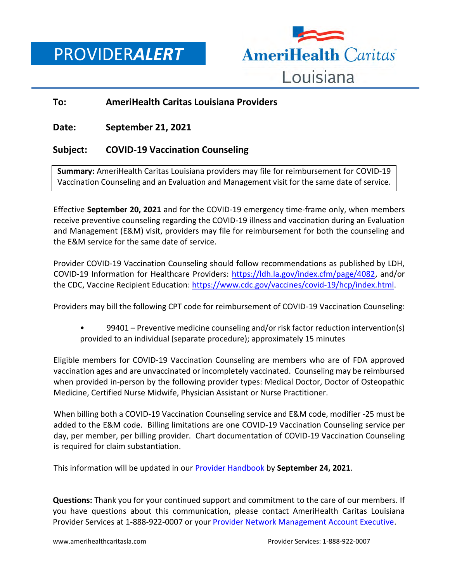PROVIDER*ALERT*



## **To: AmeriHealth Caritas Louisiana Providers**

**Date: September 21, 2021**

## **Subject: COVID-19 Vaccination Counseling**

**Summary:** AmeriHealth Caritas Louisiana providers may file for reimbursement for COVID-19 Vaccination Counseling and an Evaluation and Management visit for the same date of service.

Effective **September 20, 2021** and for the COVID-19 emergency time-frame only, when members receive preventive counseling regarding the COVID-19 illness and vaccination during an Evaluation and Management (E&M) visit, providers may file for reimbursement for both the counseling and the E&M service for the same date of service.

Provider COVID-19 Vaccination Counseling should follow recommendations as published by LDH, COVID-19 Information for Healthcare Providers: [https://ldh.la.gov/index.cfm/page/4082,](https://ldh.la.gov/index.cfm/page/4082) and/or the CDC, Vaccine Recipient Education: [https://www.cdc.gov/vaccines/covid-19/hcp/index.html.](https://www.cdc.gov/vaccines/covid-19/hcp/index.html)

Providers may bill the following CPT code for reimbursement of COVID-19 Vaccination Counseling:

• 99401 – Preventive medicine counseling and/or risk factor reduction intervention(s) provided to an individual (separate procedure); approximately 15 minutes

Eligible members for COVID-19 Vaccination Counseling are members who are of FDA approved vaccination ages and are unvaccinated or incompletely vaccinated. Counseling may be reimbursed when provided in-person by the following provider types: Medical Doctor, Doctor of Osteopathic Medicine, Certified Nurse Midwife, Physician Assistant or Nurse Practitioner.

When billing both a COVID-19 Vaccination Counseling service and E&M code, modifier -25 must be added to the E&M code. Billing limitations are one COVID-19 Vaccination Counseling service per day, per member, per billing provider. Chart documentation of COVID-19 Vaccination Counseling is required for claim substantiation.

This information will be updated in our [Provider Handbook](https://www.amerihealthcaritasla.com/provider/resources/manual/index.aspx) by **September 24, 2021**.

**Questions:** Thank you for your continued support and commitment to the care of our members. If you have questions about this communication, please contact AmeriHealth Caritas Louisiana Provider Services at 1-888-922-0007 or you[r Provider Network Management Account Executive.](http://www.amerihealthcaritasla.com/pdf/provider/account-executives.pdf)